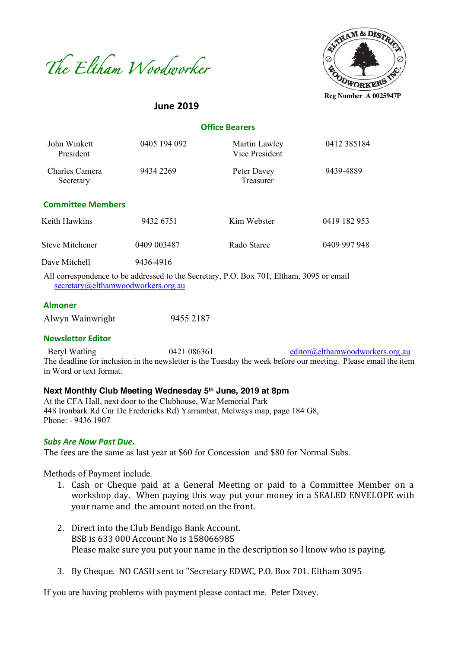



**Reg Number A 0025947P**

# **June 2019**

| <b>Office Bearers</b> |  |
|-----------------------|--|
|-----------------------|--|

| John Winkett<br>President   | 0405 194 092                                                                                                                       | Martin Lawley<br>Vice President | 0412 385184  |
|-----------------------------|------------------------------------------------------------------------------------------------------------------------------------|---------------------------------|--------------|
| Charles Camera<br>Secretary | 9434 2269                                                                                                                          | Peter Davey<br>Treasurer        | 9439-4889    |
| <b>Committee Members</b>    |                                                                                                                                    |                                 |              |
| Keith Hawkins               | 9432 6751                                                                                                                          | Kim Webster                     | 0419 182 953 |
| Steve Mitchener             | 0409 003487                                                                                                                        | Rado Starec                     | 0409 997 948 |
| Dave Mitchell<br>.          | 9436-4916<br>$\mathbf{1}$ , $\mathbf{1}$ , $\mathbf{1}$ , $\mathbf{1}$ , $\mathbf{1}$ , $\mathbf{1}$ , $\mathbf{1}$ , $\mathbf{1}$ |                                 |              |

All correspondence to be addressed to the Secretary, P.O. Box 701, Eltham, 3095 or email secretary@elthamwoodworkers.org.au

#### **Almoner**

| Alwyn Wainwright | 9455 2187 |
|------------------|-----------|
|                  |           |

#### **Newsletter Editor**

Beryl Watling 0421 086361 editor@elthamwoodworkers.org.au The deadline for inclusion in the newsletter is the Tuesday the week before our meeting. Please email the item in Word or text format.

#### **Next Monthly Club Meeting Wednesday 5th June, 2019 at 8pm**

At the CFA Hall, next door to the Clubhouse, War Memorial Park 448 Ironbark Rd Cnr De Fredericks Rd) Yarrambat, Melways map, page 184 G8, Phone: - 9436 1907

#### *Subs Are Now Past Due.*

The fees are the same as last year at \$60 for Concession and \$80 for Normal Subs.

Methods of Payment include.

- 1. Cash or Cheque paid at a General Meeting or paid to a Committee Member on a workshop day. When paying this way put your money in a SEALED ENVELOPE with your name and the amount noted on the front.
- 2. Direct into the Club Bendigo Bank Account. BSB is 633 000 Account No is 158066985 Please make sure you put your name in the description so I know who is paying.
- 3. By Cheque. NO CASH sent to "Secretary EDWC, P.O. Box 701. Eltham 3095

If you are having problems with payment please contact me. Peter Davey.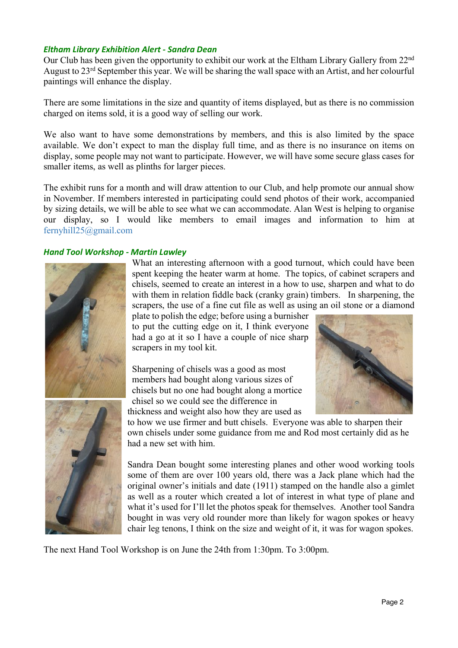## *Eltham Library Exhibition Alert - Sandra Dean*

Our Club has been given the opportunity to exhibit our work at the Eltham Library Gallery from 22nd August to 23rd September this year. We will be sharing the wall space with an Artist, and her colourful paintings will enhance the display.

There are some limitations in the size and quantity of items displayed, but as there is no commission charged on items sold, it is a good way of selling our work.

We also want to have some demonstrations by members, and this is also limited by the space available. We don't expect to man the display full time, and as there is no insurance on items on display, some people may not want to participate. However, we will have some secure glass cases for smaller items, as well as plinths for larger pieces.

The exhibit runs for a month and will draw attention to our Club, and help promote our annual show in November. If members interested in participating could send photos of their work, accompanied by sizing details, we will be able to see what we can accommodate. Alan West is helping to organise our display, so I would like members to email images and information to him at fernyhill25@gmail.com

### *Hand Tool Workshop - Martin Lawley*



What an interesting afternoon with a good turnout, which could have been spent keeping the heater warm at home. The topics, of cabinet scrapers and chisels, seemed to create an interest in a how to use, sharpen and what to do with them in relation fiddle back (cranky grain) timbers. In sharpening, the scrapers, the use of a fine cut file as well as using an oil stone or a diamond

plate to polish the edge; before using a burnisher to put the cutting edge on it, I think everyone had a go at it so I have a couple of nice sharp scrapers in my tool kit.

Sharpening of chisels was a good as most members had bought along various sizes of chisels but no one had bought along a mortice chisel so we could see the difference in thickness and weight also how they are used as



to how we use firmer and butt chisels. Everyone was able to sharpen their own chisels under some guidance from me and Rod most certainly did as he had a new set with him.

Sandra Dean bought some interesting planes and other wood working tools some of them are over 100 years old, there was a Jack plane which had the original owner's initials and date (1911) stamped on the handle also a gimlet as well as a router which created a lot of interest in what type of plane and what it's used for I'll let the photos speak for themselves. Another tool Sandra bought in was very old rounder more than likely for wagon spokes or heavy chair leg tenons, I think on the size and weight of it, it was for wagon spokes.

The next Hand Tool Workshop is on June the 24th from 1:30pm. To 3:00pm.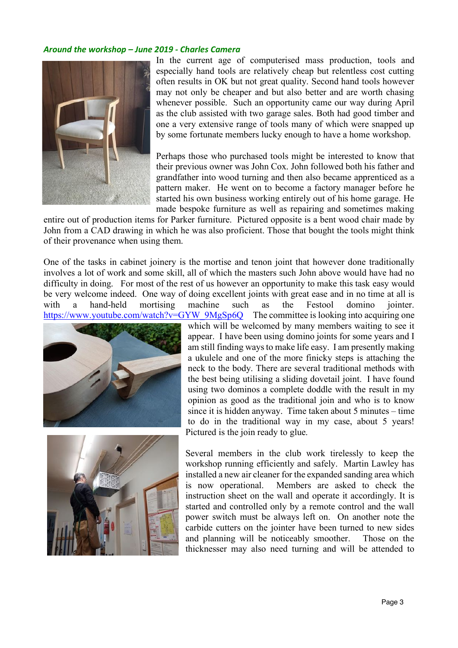### *Around the workshop – June 2019 - Charles Camera*



In the current age of computerised mass production, tools and especially hand tools are relatively cheap but relentless cost cutting often results in OK but not great quality. Second hand tools however may not only be cheaper and but also better and are worth chasing whenever possible. Such an opportunity came our way during April as the club assisted with two garage sales. Both had good timber and one a very extensive range of tools many of which were snapped up by some fortunate members lucky enough to have a home workshop.

Perhaps those who purchased tools might be interested to know that their previous owner was John Cox. John followed both his father and grandfather into wood turning and then also became apprenticed as a pattern maker. He went on to become a factory manager before he started his own business working entirely out of his home garage. He made bespoke furniture as well as repairing and sometimes making

entire out of production items for Parker furniture. Pictured opposite is a bent wood chair made by John from a CAD drawing in which he was also proficient. Those that bought the tools might think of their provenance when using them.

One of the tasks in cabinet joinery is the mortise and tenon joint that however done traditionally involves a lot of work and some skill, all of which the masters such John above would have had no difficulty in doing. For most of the rest of us however an opportunity to make this task easy would be very welcome indeed. One way of doing excellent joints with great ease and in no time at all is with a hand-held mortising machine such as the Festool domino jointer. https://www.youtube.com/watch?v=GYW\_9MgSp6Q The committee is looking into acquiring one





which will be welcomed by many members waiting to see it appear. I have been using domino joints for some years and I am still finding ways to make life easy. I am presently making a ukulele and one of the more finicky steps is attaching the neck to the body. There are several traditional methods with the best being utilising a sliding dovetail joint. I have found using two dominos a complete doddle with the result in my opinion as good as the traditional join and who is to know since it is hidden anyway. Time taken about 5 minutes – time to do in the traditional way in my case, about 5 years! Pictured is the join ready to glue.

Several members in the club work tirelessly to keep the workshop running efficiently and safely. Martin Lawley has installed a new air cleaner for the expanded sanding area which is now operational. Members are asked to check the instruction sheet on the wall and operate it accordingly. It is started and controlled only by a remote control and the wall power switch must be always left on. On another note the carbide cutters on the jointer have been turned to new sides and planning will be noticeably smoother. Those on the thicknesser may also need turning and will be attended to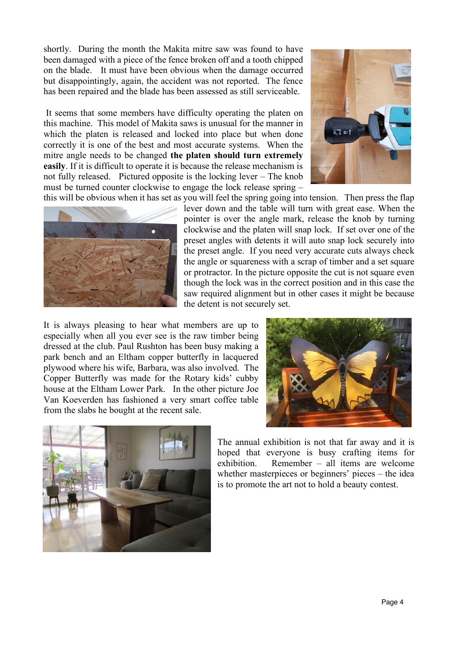shortly. During the month the Makita mitre saw was found to have been damaged with a piece of the fence broken off and a tooth chipped on the blade. It must have been obvious when the damage occurred but disappointingly, again, the accident was not reported. The fence has been repaired and the blade has been assessed as still serviceable.

It seems that some members have difficulty operating the platen on this machine. This model of Makita saws is unusual for the manner in which the platen is released and locked into place but when done correctly it is one of the best and most accurate systems. When the mitre angle needs to be changed **the platen should turn extremely easily**. If it is difficult to operate it is because the release mechanism is not fully released. Pictured opposite is the locking lever – The knob must be turned counter clockwise to engage the lock release spring –





this will be obvious when it has set as you will feel the spring going into tension. Then press the flap lever down and the table will turn with great ease. When the pointer is over the angle mark, release the knob by turning clockwise and the platen will snap lock. If set over one of the preset angles with detents it will auto snap lock securely into the preset angle. If you need very accurate cuts always check the angle or squareness with a scrap of timber and a set square or protractor. In the picture opposite the cut is not square even though the lock was in the correct position and in this case the saw required alignment but in other cases it might be because the detent is not securely set.

It is always pleasing to hear what members are up to especially when all you ever see is the raw timber being dressed at the club. Paul Rushton has been busy making a park bench and an Eltham copper butterfly in lacquered plywood where his wife, Barbara, was also involved. The Copper Butterfly was made for the Rotary kids' cubby house at the Eltham Lower Park. In the other picture Joe Van Koeverden has fashioned a very smart coffee table from the slabs he bought at the recent sale.





The annual exhibition is not that far away and it is hoped that everyone is busy crafting items for exhibition. Remember – all items are welcome whether masterpieces or beginners' pieces – the idea is to promote the art not to hold a beauty contest.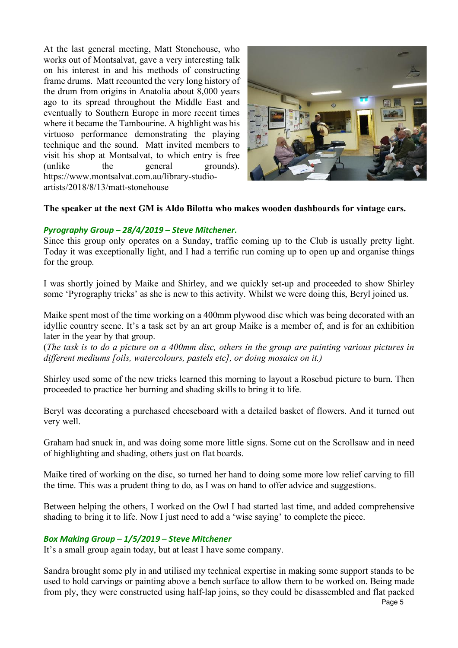At the last general meeting, Matt Stonehouse, who works out of Montsalvat, gave a very interesting talk on his interest in and his methods of constructing frame drums. Matt recounted the very long history of the drum from origins in Anatolia about 8,000 years ago to its spread throughout the Middle East and eventually to Southern Europe in more recent times where it became the Tambourine. A highlight was his virtuoso performance demonstrating the playing technique and the sound. Matt invited members to visit his shop at Montsalvat, to which entry is free (unlike the general grounds). https://www.montsalvat.com.au/library-studioartists/2018/8/13/matt-stonehouse



## **The speaker at the next GM is Aldo Bilotta who makes wooden dashboards for vintage cars.**

## *Pyrography Group – 28/4/2019 – Steve Mitchener.*

Since this group only operates on a Sunday, traffic coming up to the Club is usually pretty light. Today it was exceptionally light, and I had a terrific run coming up to open up and organise things for the group.

I was shortly joined by Maike and Shirley, and we quickly set-up and proceeded to show Shirley some 'Pyrography tricks' as she is new to this activity. Whilst we were doing this, Beryl joined us.

Maike spent most of the time working on a 400mm plywood disc which was being decorated with an idyllic country scene. It's a task set by an art group Maike is a member of, and is for an exhibition later in the year by that group.

(*The task is to do a picture on a 400mm disc, others in the group are painting various pictures in different mediums [oils, watercolours, pastels etc], or doing mosaics on it.)*

Shirley used some of the new tricks learned this morning to layout a Rosebud picture to burn. Then proceeded to practice her burning and shading skills to bring it to life.

Beryl was decorating a purchased cheeseboard with a detailed basket of flowers. And it turned out very well.

Graham had snuck in, and was doing some more little signs. Some cut on the Scrollsaw and in need of highlighting and shading, others just on flat boards.

Maike tired of working on the disc, so turned her hand to doing some more low relief carving to fill the time. This was a prudent thing to do, as I was on hand to offer advice and suggestions.

Between helping the others, I worked on the Owl I had started last time, and added comprehensive shading to bring it to life. Now I just need to add a 'wise saying' to complete the piece.

### *Box Making Group – 1/5/2019 – Steve Mitchener*

It's a small group again today, but at least I have some company.

Sandra brought some ply in and utilised my technical expertise in making some support stands to be used to hold carvings or painting above a bench surface to allow them to be worked on. Being made from ply, they were constructed using half-lap joins, so they could be disassembled and flat packed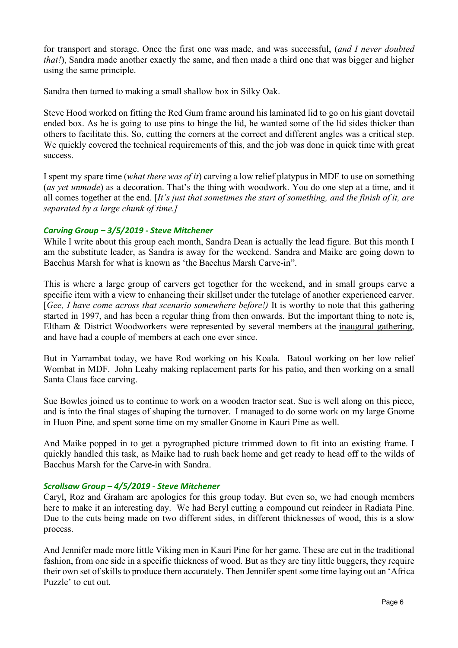for transport and storage. Once the first one was made, and was successful, (*and I never doubted that!*), Sandra made another exactly the same, and then made a third one that was bigger and higher using the same principle.

Sandra then turned to making a small shallow box in Silky Oak.

Steve Hood worked on fitting the Red Gum frame around his laminated lid to go on his giant dovetail ended box. As he is going to use pins to hinge the lid, he wanted some of the lid sides thicker than others to facilitate this. So, cutting the corners at the correct and different angles was a critical step. We quickly covered the technical requirements of this, and the job was done in quick time with great success.

I spent my spare time (*what there was of it*) carving a low relief platypus in MDF to use on something (*as yet unmade*) as a decoration. That's the thing with woodwork. You do one step at a time, and it all comes together at the end. [*It's just that sometimes the start of something, and the finish of it, are separated by a large chunk of time.]*

### *Carving Group – 3/5/2019 - Steve Mitchener*

While I write about this group each month, Sandra Dean is actually the lead figure. But this month I am the substitute leader, as Sandra is away for the weekend. Sandra and Maike are going down to Bacchus Marsh for what is known as 'the Bacchus Marsh Carve-in".

This is where a large group of carvers get together for the weekend, and in small groups carve a specific item with a view to enhancing their skillset under the tutelage of another experienced carver. [*Gee, I have come across that scenario somewhere before!)* It is worthy to note that this gathering started in 1997, and has been a regular thing from then onwards. But the important thing to note is, Eltham & District Woodworkers were represented by several members at the inaugural gathering, and have had a couple of members at each one ever since.

But in Yarrambat today, we have Rod working on his Koala. Batoul working on her low relief Wombat in MDF. John Leahy making replacement parts for his patio, and then working on a small Santa Claus face carving.

Sue Bowles joined us to continue to work on a wooden tractor seat. Sue is well along on this piece, and is into the final stages of shaping the turnover. I managed to do some work on my large Gnome in Huon Pine, and spent some time on my smaller Gnome in Kauri Pine as well.

And Maike popped in to get a pyrographed picture trimmed down to fit into an existing frame. I quickly handled this task, as Maike had to rush back home and get ready to head off to the wilds of Bacchus Marsh for the Carve-in with Sandra.

### *Scrollsaw Group – 4/5/2019 - Steve Mitchener*

Caryl, Roz and Graham are apologies for this group today. But even so, we had enough members here to make it an interesting day. We had Beryl cutting a compound cut reindeer in Radiata Pine. Due to the cuts being made on two different sides, in different thicknesses of wood, this is a slow process.

And Jennifer made more little Viking men in Kauri Pine for her game. These are cut in the traditional fashion, from one side in a specific thickness of wood. But as they are tiny little buggers, they require their own set of skills to produce them accurately. Then Jennifer spent some time laying out an 'Africa Puzzle' to cut out.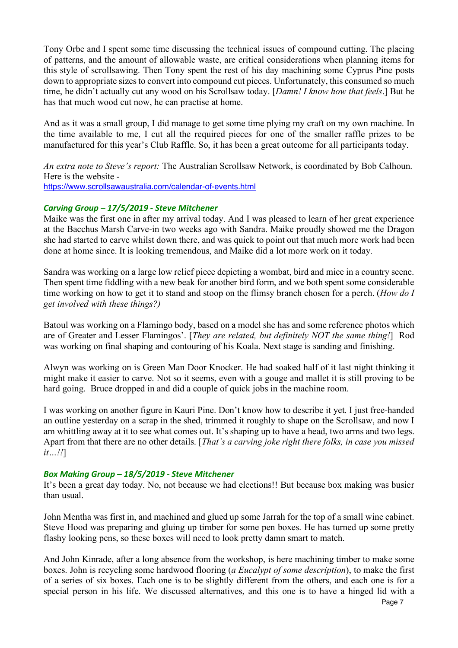Tony Orbe and I spent some time discussing the technical issues of compound cutting. The placing of patterns, and the amount of allowable waste, are critical considerations when planning items for this style of scrollsawing. Then Tony spent the rest of his day machining some Cyprus Pine posts down to appropriate sizes to convert into compound cut pieces. Unfortunately, this consumed so much time, he didn't actually cut any wood on his Scrollsaw today. [*Damn! I know how that feels*.] But he has that much wood cut now, he can practise at home.

And as it was a small group, I did manage to get some time plying my craft on my own machine. In the time available to me, I cut all the required pieces for one of the smaller raffle prizes to be manufactured for this year's Club Raffle. So, it has been a great outcome for all participants today.

*An extra note to Steve's report:* The Australian Scrollsaw Network, is coordinated by Bob Calhoun. Here is the website https://www.scrollsawaustralia.com/calendar-of-events.html

## *Carving Group – 17/5/2019 - Steve Mitchener*

Maike was the first one in after my arrival today. And I was pleased to learn of her great experience at the Bacchus Marsh Carve-in two weeks ago with Sandra. Maike proudly showed me the Dragon she had started to carve whilst down there, and was quick to point out that much more work had been done at home since. It is looking tremendous, and Maike did a lot more work on it today.

Sandra was working on a large low relief piece depicting a wombat, bird and mice in a country scene. Then spent time fiddling with a new beak for another bird form, and we both spent some considerable time working on how to get it to stand and stoop on the flimsy branch chosen for a perch. (*How do I get involved with these things?)*

Batoul was working on a Flamingo body, based on a model she has and some reference photos which are of Greater and Lesser Flamingos'. [*They are related, but definitely NOT the same thing!*] Rod was working on final shaping and contouring of his Koala. Next stage is sanding and finishing.

Alwyn was working on is Green Man Door Knocker. He had soaked half of it last night thinking it might make it easier to carve. Not so it seems, even with a gouge and mallet it is still proving to be hard going. Bruce dropped in and did a couple of quick jobs in the machine room.

I was working on another figure in Kauri Pine. Don't know how to describe it yet. I just free-handed an outline yesterday on a scrap in the shed, trimmed it roughly to shape on the Scrollsaw, and now I am whittling away at it to see what comes out. It's shaping up to have a head, two arms and two legs. Apart from that there are no other details. [*That's a carving joke right there folks, in case you missed it…!!*]

### *Box Making Group – 18/5/2019 - Steve Mitchener*

It's been a great day today. No, not because we had elections!! But because box making was busier than usual.

John Mentha was first in, and machined and glued up some Jarrah for the top of a small wine cabinet. Steve Hood was preparing and gluing up timber for some pen boxes. He has turned up some pretty flashy looking pens, so these boxes will need to look pretty damn smart to match.

And John Kinrade, after a long absence from the workshop, is here machining timber to make some boxes. John is recycling some hardwood flooring (*a Eucalypt of some description*), to make the first of a series of six boxes. Each one is to be slightly different from the others, and each one is for a special person in his life. We discussed alternatives, and this one is to have a hinged lid with a